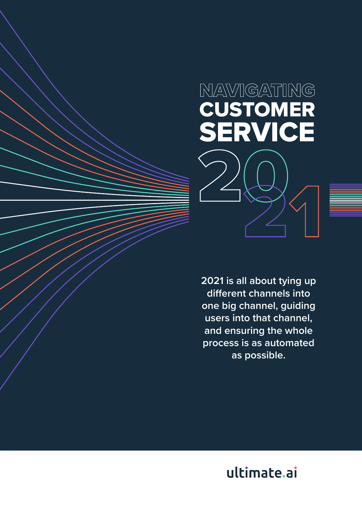# 20 NAVIGATING CUSTOMER SERVICE

**2021 is all about tying up different channels into one big channel, guiding users into that channel, and ensuring the whole process is as automated as possible.**

31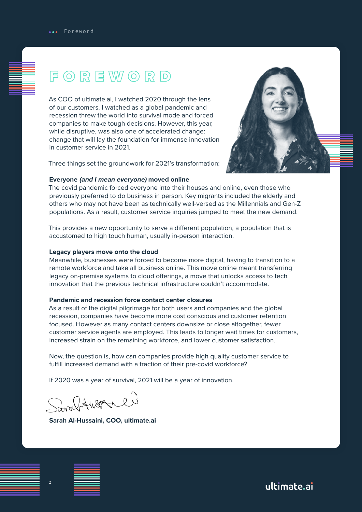### <span id="page-1-0"></span>FOREWORD

As COO of ultimate.ai, I watched 2020 through the lens of our customers. I watched as a global pandemic and recession threw the world into survival mode and forced companies to make tough decisions. However, this year, while disruptive, was also one of accelerated change: change that will lay the foundation for immense innovation in customer service in 2021.

Three things set the groundwork for 2021's transformation:

#### **Everyone (and I mean everyone) moved online**

The covid pandemic forced everyone into their houses and online, even those who previously preferred to do business in person. Key migrants included the elderly and others who may not have been as technically well-versed as the Millennials and Gen-Z populations. As a result, customer service inquiries jumped to meet the new demand.

This provides a new opportunity to serve a different population, a population that is accustomed to high touch human, usually in-person interaction.

#### **Legacy players move onto the cloud**

Meanwhile, businesses were forced to become more digital, having to transition to a remote workforce and take all business online. This move online meant transferring legacy on-premise systems to cloud offerings, a move that unlocks access to tech innovation that the previous technical infrastructure couldn't accommodate.

#### **Pandemic and recession force contact center closures**

As a result of the digital pilgrimage for both users and companies and the global recession, companies have become more cost conscious and customer retention focused. However as many contact centers downsize or close altogether, fewer customer service agents are employed. This leads to longer wait times for customers, increased strain on the remaining workforce, and lower customer satisfaction.

Now, the question is, how can companies provide high quality customer service to fulfill increased demand with a fraction of their pre-covid workforce?

If 2020 was a year of survival, 2021 will be a year of innovation.

SarafAuserali

**Sarah Al-Hussaini, COO, ultimate.ai**

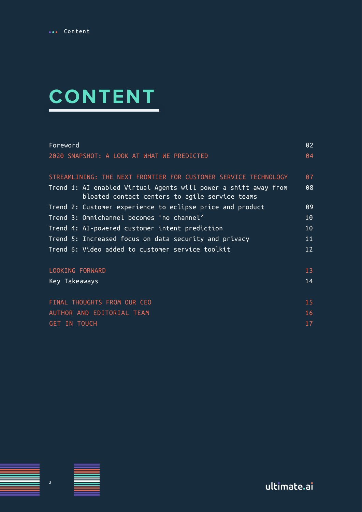# **CONTENT**

| Foreword                                                                                                          | 02              |  |
|-------------------------------------------------------------------------------------------------------------------|-----------------|--|
| 2020 SNAPSHOT: A LOOK AT WHAT WE PREDICTED                                                                        | 04              |  |
| STREAMLINING: THE NEXT FRONTIER FOR CUSTOMER SERVICE TECHNOLOGY                                                   | 07              |  |
| Trend 1: AI enabled Virtual Agents will power a shift away from<br>bloated contact centers to agile service teams | 08              |  |
| Trend 2: Customer experience to eclipse price and product                                                         | 09              |  |
| Trend 3: Omnichannel becomes 'no channel'                                                                         | 10 <sub>1</sub> |  |
| Trend 4: AI-powered customer intent prediction                                                                    | 10 <sub>1</sub> |  |
| Trend 5: Increased focus on data security and privacy                                                             | 11              |  |
| Trend 6: Video added to customer service toolkit                                                                  | 12 <sup>°</sup> |  |
| LOOKING FORWARD                                                                                                   | 13 <sup>°</sup> |  |
| Key Takeaways                                                                                                     | 14              |  |
| FINAL THOUGHTS FROM OUR CEO                                                                                       | 15 <sub>1</sub> |  |
| AUTHOR AND EDITORIAL TEAM                                                                                         |                 |  |
| <b>GET IN TOUCH</b>                                                                                               |                 |  |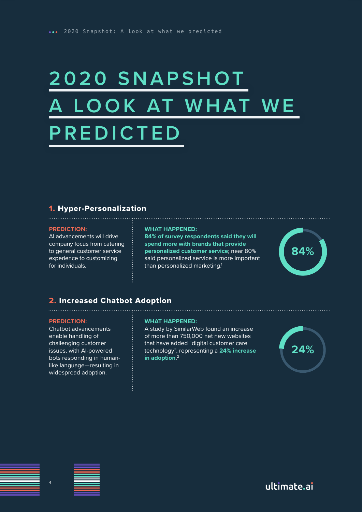# <span id="page-3-0"></span>**2020 SNAPSHOT** LOOK AT WHAT WE **PREDICTED**

### 1. Hyper-Personalization

#### **PREDICTION:**

AI advancements will drive company focus from catering to general customer service experience to customizing for individuals.

#### **WHAT HAPPENED:**

**84% of survey respondents said they will spend more with brands that provide personalized customer service**; near 80% said personalized service is more important than personalized marketing.<sup>1</sup>



### 2. Increased Chatbot Adoption

#### **PREDICTION:**

Chatbot advancements enable handling of challenging customer issues, with AI-powered bots responding in humanlike language—resulting in widespread adoption.

#### **WHAT HAPPENED:**

A study by SimilarWeb found an increase of more than 750,000 net new websites that have added "digital customer care technology", representing a **24% increase in adoption**. 2



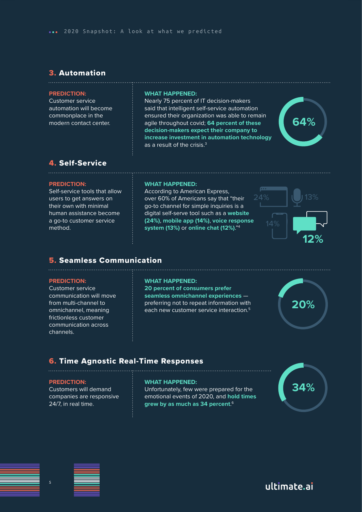### 3. Automation

#### **PREDICTION:**

Customer service automation will become commonplace in the modern contact center.

#### **WHAT HAPPENED:**

Nearly 75 percent of IT decision-makers said that intelligent self-service automation ensured their organization was able to remain agile throughout covid; **64 percent of these decision-makers expect their company to increase investment in automation technology**  as a result of the crisis.<sup>3</sup>



#### 4. Self-Service

#### **PREDICTION:**

Self-service tools that allow users to get answers on their own with minimal human assistance become a go-to customer service method.

#### **WHAT HAPPENED:**

According to American Express, over 60% of Americans say that "their go-to channel for simple inquiries is a digital self-serve tool such as a **website (24%)**, **mobile app (14%)**, **voice response system (13%)** or online chat (12%)."<sup>4</sup>



### 5. Seamless Communication

#### **PREDICTION:**

Customer service communication will move from multi-channel to omnichannel, meaning frictionless customer communication across channels.

#### **WHAT HAPPENED:**

**20 percent of consumers prefer seamless omnichannel experiences** preferring not to repeat information with each new customer service interaction.5 **20%**

### 6. Time Agnostic Real-Time Responses

#### **PREDICTION:**

Customers will demand companies are responsive 24/7, in real time.

#### **WHAT HAPPENED:**

Unfortunately, few were prepared for the emotional events of 2020, and **hold times grew by as much as 34 percent**. 6



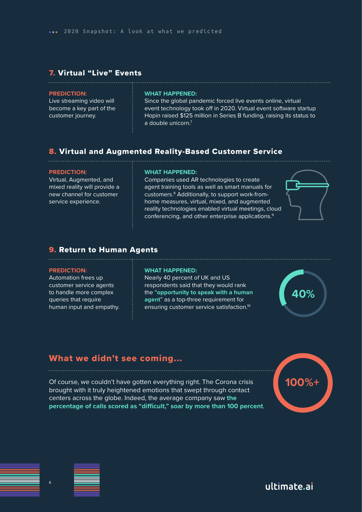### 7. Virtual "Live" Events

#### **PREDICTION:**

Live streaming video will become a key part of the customer journey.

#### **WHAT HAPPENED:**

Since the global pandemic forced live events online, virtual event technology took off in 2020. Virtual event software startup Hopin raised \$125 million in Series B funding, raising its status to a double unicorn.<sup>7</sup>

### 8. Virtual and Augmented Reality-Based Customer Service

#### **PREDICTION:**

Virtual, Augmented, and mixed reality will provide a new channel for customer service experience.

#### **WHAT HAPPENED:**

Companies used AR technologies to create agent training tools as well as smart manuals for customers.8 Additionally, to support work-fromhome measures, virtual, mixed, and augmented reality technologies enabled virtual meetings, cloud conferencing, and other enterprise applications.9



### 9. Return to Human Agents

#### **PREDICTION:**

Automation frees up customer service agents to handle more complex queries that require human input and empathy.

#### **WHAT HAPPENED:**

Nearly 40 percent of UK and US respondents said that they would rank the "**opportunity to speak with a human agent**" as a top-three requirement for ensuring customer service satisfaction.10

**40%**

### What we didn't see coming...

Of course, we couldn't have gotten everything right. The Corona crisis brought with it truly heightened emotions that swept through contact centers across the globe. Indeed, the average company saw **the percentage of calls scored as "difficult," soar by more than 100 percent**.



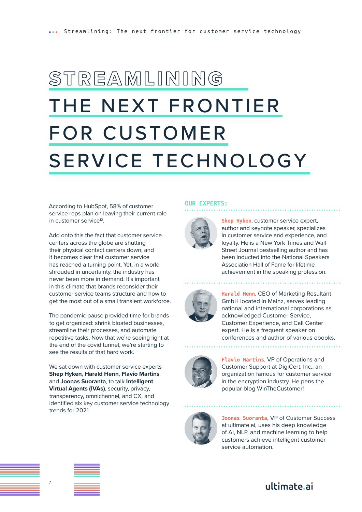# <span id="page-6-0"></span>STREAMLINING THE NEXT FRONTIER FOR CUSTOMER SERVICE TECHNOLOGY

According to HubSpot, 58% of customer service reps plan on leaving their current role in customer service<sup>12</sup>.

Add onto this the fact that customer service centers across the globe are shutting their physical contact centers down, and it becomes clear that customer service has reached a turning point. Yet, in a world shrouded in uncertainty, the industry has never been more in demand. It's important in this climate that brands reconsider their customer service teams structure and how to get the most out of a small transient workforce.

The pandemic pause provided time for brands to get organized: shrink bloated businesses, streamline their processes, and automate repetitive tasks. Now that we're seeing light at the end of the covid tunnel, we're starting to see the results of that hard work.

We sat down with customer service experts **Shep Hyken**, **Harald Henn**, **Flavio Martins**, and **Joonas Suoranta**, to talk **Intelligent Virtual Agents (IVAs)**, security, privacy, transparency, omnichannel, and CX, and identified six key customer service technology trends for 2021.

#### **OUR EXPERTS:**



**Shep Hyken**, customer service expert, author and keynote speaker, specializes in customer service and experience, and loyalty. He is a New York Times and Wall Street Journal bestselling author and has been inducted into the National Speakers Association Hall of Fame for lifetime achievement in the speaking profession.



**Harald Henn**, CEO of Marketing Resultant GmbH located in Mainz, serves leading national and international corporations as acknowledged Customer Service, Customer Experience, and Call Center expert. He is a frequent speaker on conferences and author of various ebooks.



**Flavio Martins**, VP of Operations and Customer Support at DigiCert, Inc., an organization famous for customer service in the encryption industry. He pens the popular blog WinTheCustomer!



**Joonas Suoranta**, VP of Customer Success at ultimate.ai, uses his deep knowledge of AI, NLP, and machine learning to help customers achieve intelligent customer service automation.

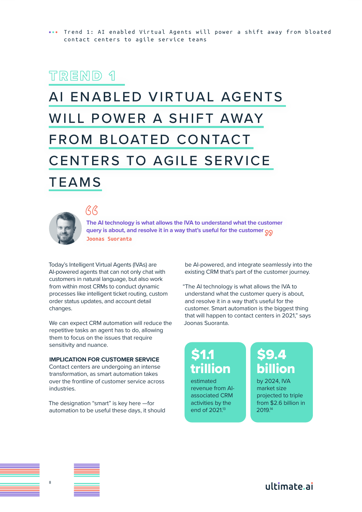# <span id="page-7-0"></span>AI ENABLED VIRTUAL AGENTS WILL POWER A SHIFT AWAY FROM BLOATED CONTACT CENTERS TO AGILE SERVICE

### TEAMS



 $AR$ 

**The AI technology is what allows the IVA to understand what the customer query is about, and resolve it in a way that's useful for the customer** "**Joonas Suoranta**

Today's Intelligent Virtual Agents (IVAs) are AI-powered agents that can not only chat with customers in natural language, but also work from within most CRMs to conduct dynamic processes like intelligent ticket routing, custom order status updates, and account detail changes.

We can expect CRM automation will reduce the repetitive tasks an agent has to do, allowing them to focus on the issues that require sensitivity and nuance.

#### **IMPLICATION FOR CUSTOMER SERVICE**

Contact centers are undergoing an intense transformation, as smart automation takes over the frontline of customer service across industries.

The designation "smart" is key here —for automation to be useful these days, it should be AI-powered, and integrate seamlessly into the existing CRM that's part of the customer journey.

"The AI technology is what allows the IVA to understand what the customer query is about, and resolve it in a way that's useful for the customer. Smart automation is the biggest thing that will happen to contact centers in 2021," says Joonas Suoranta.

### **\$1.1** llion

estimated revenue from AIassociated CRM activities by the end of 2021.<sup>13</sup>

### \$9.4 billion

by 2024, IVA market size projected to triple from \$2.6 billion in 2019.14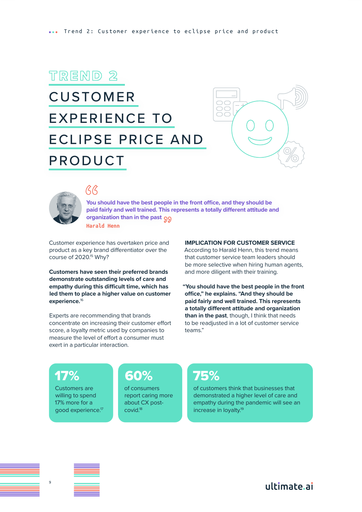### <span id="page-8-0"></span>CUSTOMER EXPERIENCE TO ECLIPSE PRICE AND PRODUCT





### $\beta\beta$

**You should have the best people in the front office, and they should be paid fairly and well trained. This represents a totally different attitude and organization than in the past** "**Harald Henn**

Customer experience has overtaken price and product as a key brand differentiator over the course of 2020.<sup>15</sup> Why?

**Customers have seen their preferred brands demonstrate outstanding levels of care and empathy during this difficult time, which has led them to place a higher value on customer experience.**<sup>16</sup>

Experts are recommending that brands concentrate on increasing their customer effort score, a loyalty metric used by companies to measure the level of effort a consumer must exert in a particular interaction.

#### **IMPLICATION FOR CUSTOMER SERVICE**

According to Harald Henn, this trend means that customer service team leaders should be more selective when hiring human agents, and more diligent with their training.

**"You should have the best people in the front office," he explains. "And they should be paid fairly and well trained. This represents a totally different attitude and organization than in the past**, though, I think that needs to be readjusted in a lot of customer service teams."

### 17%

Customers are willing to spend 17% more for a good experience.17

### 60%

of consumers report caring more about CX postcovid.18

### 75%

of customers think that businesses that demonstrated a higher level of care and empathy during the pandemic will see an increase in loyalty.19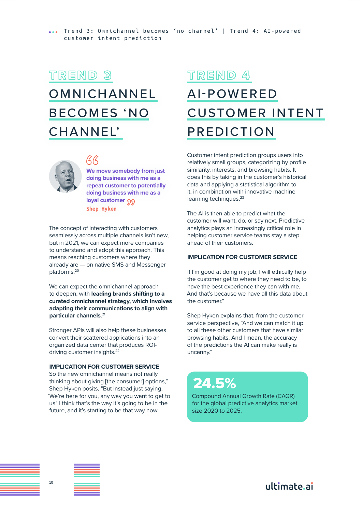### <span id="page-9-0"></span>**OMNICHANNEL** BECOMES 'NO CHANNEL'



### R<br>R

**We move somebody from just doing business with me as a repeat customer to potentially doing business with me as a**  loyal customer 99 **Shep Hyken**

The concept of interacting with customers seamlessly across multiple channels isn't new, but in 2021, we can expect more companies to understand and adopt this approach. This means reaching customers where they already are — on native SMS and Messenger platforms.20

We can expect the omnichannel approach to deepen, with **leading brands shifting to a curated omnichannel strategy, which involves adapting their communications to align with particular channels**. 21

Stronger APIs will also help these businesses convert their scattered applications into an organized data center that produces ROIdriving customer insights.<sup>22</sup>

#### **IMPLICATION FOR CUSTOMER SERVICE**

So the new omnichannel means not really thinking about giving [the consumer] options," Shep Hyken posits, "But instead just saying, 'We're here for you, any way you want to get to us.' I think that's the way it's going to be in the future, and it's starting to be that way now.

### TREND 4

### AI-POWERED CUSTOMER INTENT PREDICTION

Customer intent prediction groups users into relatively small groups, categorizing by profile similarity, interests, and browsing habits. It does this by taking in the customer's historical data and applying a statistical algorithm to it, in combination with innovative machine learning techniques.<sup>23</sup>

The AI is then able to predict what the customer will want, do, or say next. Predictive analytics plays an increasingly critical role in helping customer service teams stay a step ahead of their customers.

#### **IMPLICATION FOR CUSTOMER SERVICE**

If I'm good at doing my job, I will ethically help the customer get to where they need to be, to have the best experience they can with me. And that's because we have all this data about the customer."

Shep Hyken explains that, from the customer service perspective, "And we can match it up to all these other customers that have similar browsing habits. And I mean, the accuracy of the predictions the AI can make really is uncanny."

### 24.5%

Compound Annual Growth Rate (CAGR) for the global predictive analytics market size 2020 to 2025.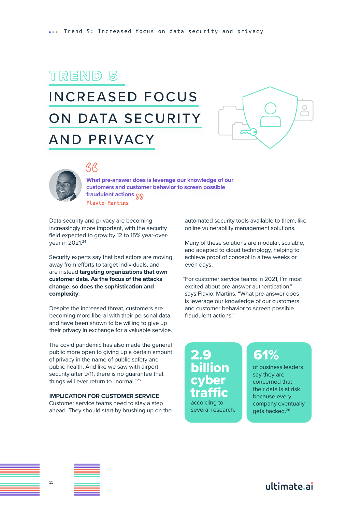### <span id="page-10-0"></span>INCREASED FOCUS ON DATA SECURITY AND PRIVACY





### $\overline{G}$

**What pre-answer does is leverage our knowledge of our customers and customer behavior to screen possible fraudulent actions** "**Flavio Martins**

Data security and privacy are becoming increasingly more important, with the security field expected to grow by 12 to 15% year-overyear in 2021.24

Security experts say that bad actors are moving away from efforts to target individuals, and are instead **targeting organizations that own customer data. As the focus of the attacks change, so does the sophistication and complexity**.

Despite the increased threat, customers are becoming more liberal with their personal data, and have been shown to be willing to give up their privacy in exchange for a valuable service.

The covid pandemic has also made the general public more open to giving up a certain amount of privacy in the name of public safety and public health. And like we saw with airport security after 9/11, there is no guarantee that things will ever return to "normal."25

#### **IMPLICATION FOR CUSTOMER SERVICE**

Customer service teams need to stay a step ahead. They should start by brushing up on the automated security tools available to them, like online vulnerability management solutions.

Many of these solutions are modular, scalable, and adapted to cloud technology, helping to achieve proof of concept in a few weeks or even days.

"For customer service teams in 2021, I'm most excited about pre-answer authentication," says Flavio, Martins, "What pre-answer does is leverage our knowledge of our customers and customer behavior to screen possible fraudulent actions."

2.9 billion cyber traffic

according to several research.

### 61%

of business leaders say they are concerned that their data is at risk because every company eventually gets hacked.26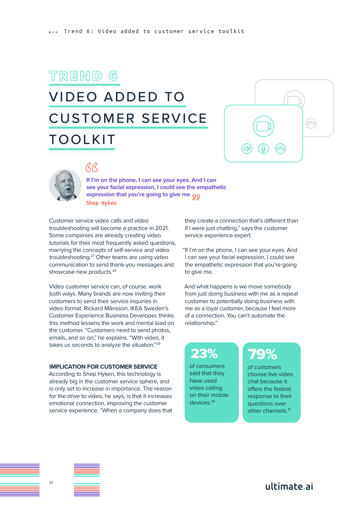### <span id="page-11-0"></span>VIDEO ADDED TO CUSTOMER SERVICE TOOLKIT





### $\overline{G}$

**If I'm on the phone, I can see your eyes. And I can see your facial expression, I could see the empathetic expression that you're going to give me** "**Shep Hyken**

Customer service video calls and video troubleshooting will become a practice in 2021. Some companies are already creating video tutorials for their most frequently asked questions, marrying the concepts of self-service and video troubleshooting.27 Other teams are using video communication to send thank-you messages and showcase new products.<sup>28</sup>

Video customer service can, of course, work both ways. Many brands are now inviting their customers to send their service inquiries in video format. Rickard Månsson, IKEA Sweden's Customer Experience Business Developer, thinks this method lessens the work and mental load on the customer. "Customers need to send photos, emails, and so on," he explains. "With video, it takes us seconds to analyze the situation."29

#### **IMPLICATION FOR CUSTOMER SERVICE**

According to Shep Hyken, this technology is already big in the customer service sphere, and is only set to increase in importance. The reason for the drive to video, he says, is that it increases emotional connection, improving the customer service experience. "When a company does that

they create a connection that's different than if I were just chatting," says the customer service experience expert.

"If I'm on the phone, I can see your eyes. And I can see your facial expression, I could see the empathetic expression that you're going to give me.

And what happens is we move somebody from just doing business with me as a repeat customer to potentially doing business with me as a loyal customer, because I feel more of a connection. You can't automate the relationship."

### 23%

of consumers said that they have used video calling on their mobile devices.30

### 79%

of customers choose live video chat because it offers the fastest response to their questions over other channels.<sup>31</sup>

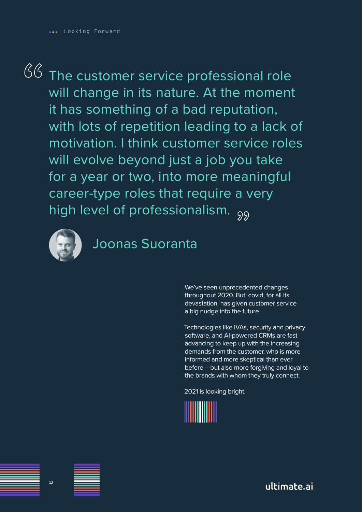# <span id="page-12-0"></span>**66**

The customer service professional role will change in its nature. At the moment it has something of a bad reputation, with lots of repetition leading to a lack of motivation. I think customer service roles will evolve beyond just a job you take for a year or two, into more meaningful career-type roles that require a very career-type roles that require a v<br>high level of professionalism. <sub>99</sub>



### Joonas Suoranta

We've seen unprecedented changes throughout 2020. But, covid, for all its devastation, has given customer service a big nudge into the future.

Technologies like IVAs, security and privacy software, and AI-powered CRMs are fast advancing to keep up with the increasing demands from the customer, who is more informed and more skeptical than ever before —but also more forgiving and loyal to the brands with whom they truly connect.

2021 is looking bright.



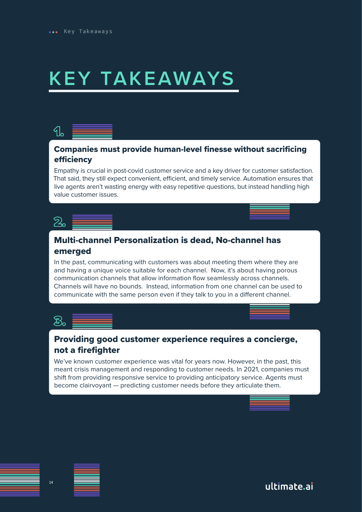# <span id="page-13-0"></span>**KEY TAKEAWAYS**

### $\mathcal{A}_{\mathsf{b}}$

### Companies must provide human-level finesse without sacrificing efficiency

Empathy is crucial in post-covid customer service and a key driver for customer satisfaction. That said, they still expect convenient, efficient, and timely service. Automation ensures that live agents aren't wasting energy with easy repetitive questions, but instead handling high value customer issues.



### Multi-channel Personalization is dead, No-channel has emerged

In the past, communicating with customers was about meeting them where they are and having a unique voice suitable for each channel. Now, it's about having porous communication channels that allow information flow seamlessly across channels. Channels will have no bounds. Instead, information from one channel can be used to communicate with the same person even if they talk to you in a different channel.



### Providing good customer experience requires a concierge, not a firefighter

We've known customer experience was vital for years now. However, in the past, this meant crisis management and responding to customer needs. In 2021, companies must shift from providing responsive service to providing anticipatory service. Agents must become clairvoyant — predicting customer needs before they articulate them.

| __ |  |  |
|----|--|--|
|    |  |  |
|    |  |  |
|    |  |  |
|    |  |  |
|    |  |  |
|    |  |  |
|    |  |  |
|    |  |  |
|    |  |  |
|    |  |  |
|    |  |  |
|    |  |  |
|    |  |  |
|    |  |  |
|    |  |  |
|    |  |  |
|    |  |  |
|    |  |  |
|    |  |  |
|    |  |  |
|    |  |  |
|    |  |  |
|    |  |  |
|    |  |  |
|    |  |  |
|    |  |  |
|    |  |  |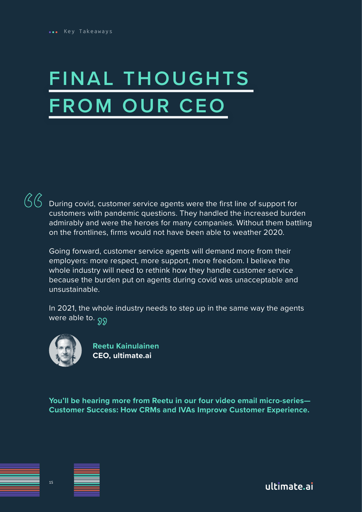# <span id="page-14-0"></span>**FINAL THOUGHTS FROM OUR CEO**

**66** 

During covid, customer service agents were the first line of support for customers with pandemic questions. They handled the increased burden admirably and were the heroes for many companies. Without them battling on the frontlines, firms would not have been able to weather 2020.

Going forward, customer service agents will demand more from their employers: more respect, more support, more freedom. I believe the whole industry will need to rethink how they handle customer service because the burden put on agents during covid was unacceptable and unsustainable.

In 2021, the whole industry needs to step up in the same way the agents were able to. <sub>99</sub>



 **Reetu Kainulainen CEO, ultimate.ai**

**You'll be hearing more from Reetu in our four video email micro-series— Customer Success: How CRMs and IVAs Improve Customer Experience.**

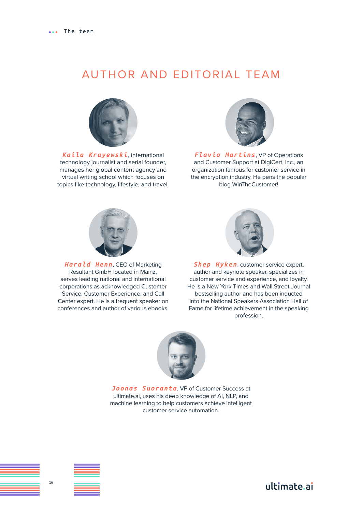### <span id="page-15-0"></span>AUTHOR AND EDITORIAL TEAM



*Kaila Krayewski*, international technology journalist and serial founder, manages her global content agency and virtual writing school which focuses on topics like technology, lifestyle, and travel.



*Flavio Martins*, VP of Operations and Customer Support at DigiCert, Inc., an organization famous for customer service in the encryption industry. He pens the popular blog WinTheCustomer!



*Harald Henn*, CEO of Marketing Resultant GmbH located in Mainz, serves leading national and international corporations as acknowledged Customer Service, Customer Experience, and Call Center expert. He is a frequent speaker on conferences and author of various ebooks.



*Shep Hyken*, customer service expert, author and keynote speaker, specializes in customer service and experience, and loyalty. He is a New York Times and Wall Street Journal bestselling author and has been inducted into the National Speakers Association Hall of Fame for lifetime achievement in the speaking profession.



**Joonas Suoranta**, VP of Customer Success at ultimate.ai, uses his deep knowledge of AI, NLP, and machine learning to help customers achieve intelligent customer service automation.



ultimate.ai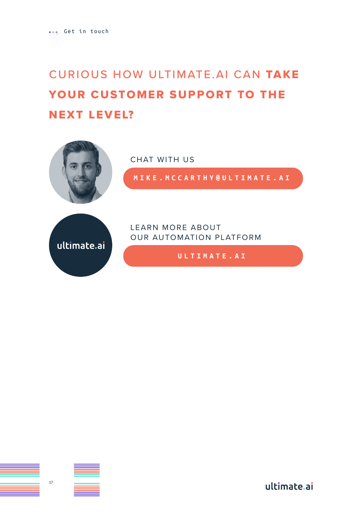### <span id="page-16-0"></span>CURIOUS HOW ULTIMATE.AI CAN TAKE YOUR CUSTOMER SUPPORT TO THE NEXT LEVEL?



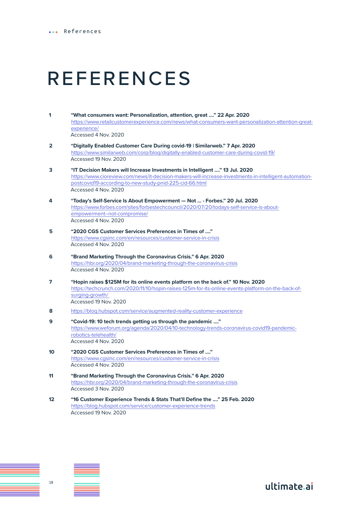## REFERENCES

- **1 "What consumers want: Personalization, attention, great ...." 22 Apr. 2020** https://www.retailcustomerexperience.com/news/what-consumers-want-personalization-attention-greatexperience/ Accessed 4 Nov. 2020
- **2 "Digitally Enabled Customer Care During covid-19 | Similarweb." 7 Apr. 2020**  https://www.similarweb.com/corp/blog/digitally-enabled-customer-care-during-covid-19/ Accessed 19 Nov. 2020
- **3 "IT Decision Makers will Increase Investments in Intelligent ...." 13 Jul. 2020**  https://www.cioreview.com/news/it-decision-makers-will-increase-investments-in-intelligent-automationpostcovid19-according-to-new-study-pnid-225-cid-66.html Accessed 4 Nov. 2020
- **4 "Today's Self-Service Is About Empowerment Not ... Forbes." 20 Jul. 2020** https://www.forbes.com/sites/forbestechcouncil/2020/07/20/todays-self-service-is-aboutempowerment--not-compromise/ Accessed 4 Nov. 2020
- **5 "2020 CGS Customer Services Preferences in Times of ...."**  https://www.cgsinc.com/en/resources/customer-service-in-crisis Accessed 4 Nov. 2020
- **6 "Brand Marketing Through the Coronavirus Crisis." 6 Apr. 2020** https://hbr.org/2020/04/brand-marketing-through-the-coronavirus-crisis Accessed 4 Nov. 2020
- **7 "Hopin raises \$125M for its online events platform on the back of." 10 Nov. 2020** https://techcrunch.com/2020/11/10/hopin-raises-125m-for-its-online-events-platform-on-the-back-ofsurging-growth/ Accessed 19 Nov. 2020
- **8** https://blog.hubspot.com/service/augmented-reality-customer-experience
- **9 "Covid-19: 10 tech trends getting us through the pandemic ...."**  https://www.weforum.org/agenda/2020/04/10-technology-trends-coronavirus-covid19-pandemicrobotics-telehealth/ Accessed 4 Nov. 2020

- **10 "2020 CGS Customer Services Preferences in Times of ...."**  https://www.cgsinc.com/en/resources/customer-service-in-crisis Accessed 4 Nov. 2020
- **11 "Brand Marketing Through the Coronavirus Crisis." 6 Apr. 2020** https://hbr.org/2020/04/brand-marketing-through-the-coronavirus-crisis Accessed 3 Nov. 2020
- **12 "16 Customer Experience Trends & Stats That'll Define the ...." 25 Feb. 2020** https://blog.hubspot.com/service/customer-experience-trends Accessed 19 Nov. 2020

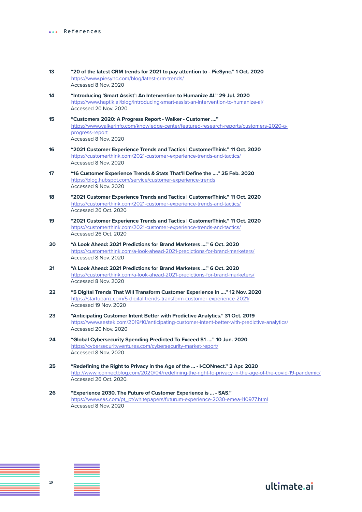- **13 "20 of the latest CRM trends for 2021 to pay attention to PieSync." 1 Oct. 2020** https://www.piesync.com/blog/latest-crm-trends/ Accessed 8 Nov. 2020
- **14 "Introducing 'Smart Assist': An Intervention to Humanize AI." 29 Jul. 2020** https://www.haptik.ai/blog/introducing-smart-assist-an-intervention-to-humanize-ai/ Accessed 20 Nov. 2020
- **15 "Customers 2020: A Progress Report Walker Customer ...."**  https://www.walkerinfo.com/knowledge-center/featured-research-reports/customers-2020-aprogress-report Accessed 8 Nov. 2020
- **16 "2021 Customer Experience Trends and Tactics | CustomerThink." 11 Oct. 2020** https://customerthink.com/2021-customer-experience-trends-and-tactics/ Accessed 8 Nov. 2020
- **17 "16 Customer Experience Trends & Stats That'll Define the ...." 25 Feb. 2020** https://blog.hubspot.com/service/customer-experience-trends Accessed 9 Nov. 2020
- **18 "2021 Customer Experience Trends and Tactics | CustomerThink." 11 Oct. 2020** https://customerthink.com/2021-customer-experience-trends-and-tactics/ Accessed 26 Oct. 2020
- **19 "2021 Customer Experience Trends and Tactics | CustomerThink." 11 Oct. 2020** https://customerthink.com/2021-customer-experience-trends-and-tactics/ Accessed 26 Oct. 2020
- **20 "A Look Ahead: 2021 Predictions for Brand Marketers ...." 6 Oct. 2020** https://customerthink.com/a-look-ahead-2021-predictions-for-brand-marketers/ Accessed 8 Nov. 2020
- **21 "A Look Ahead: 2021 Predictions for Brand Marketers ...." 6 Oct. 2020** https://customerthink.com/a-look-ahead-2021-predictions-for-brand-marketers/ Accessed 8 Nov. 2020
- **22 "5 Digital Trends That Will Transform Customer Experience In ...." 12 Nov. 2020** https://startupanz.com/5-digital-trends-transform-customer-experience-2021/ Accessed 19 Nov. 2020
- **23 "Anticipating Customer Intent Better with Predictive Analytics." 31 Oct. 2019** https://www.sestek.com/2019/10/anticipating-customer-intent-better-with-predictive-analytics/ Accessed 20 Nov. 2020
- **24 "Global Cybersecurity Spending Predicted To Exceed \$1 ...." 10 Jun. 2020** https://cybersecurityventures.com/cybersecurity-market-report/ Accessed 8 Nov. 2020
- **25 "Redefining the Right to Privacy in the Age of the ... I·CONnect." 2 Apr. 2020** http://www.iconnectblog.com/2020/04/redefining-the-right-to-privacy-in-the-age-of-the-covid-19-pandemic/ Accessed 26 Oct. 2020.

ultimate.ai

**26 "Experience 2030. The Future of Customer Experience is ... - SAS."**  https://www.sas.com/pt\_pt/whitepapers/futurum-experience-2030-emea-110977.html Accessed 8 Nov. 2020